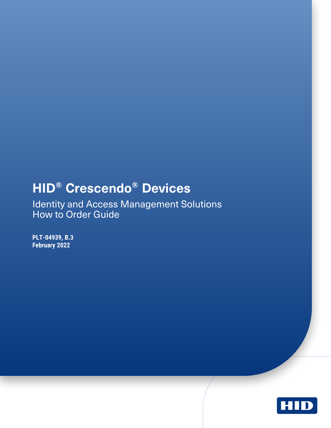## <span id="page-0-0"></span>**HID® Crescendo® Devices**

Identity and Access Management Solutions How to Order Guide

**PLT-04939, B.3 February 2022**

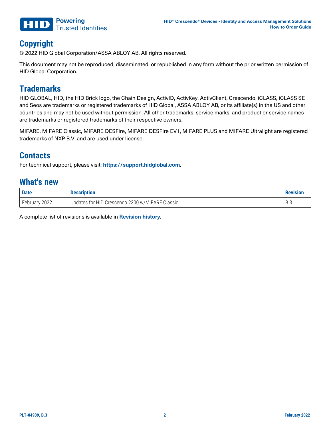

### **Copyright**

© 2022 HID Global Corporation/ASSA ABLOY AB. All rights reserved.

This document may not be reproduced, disseminated, or republished in any form without the prior written permission of HID Global Corporation.

### **Trademarks**

HID GLOBAL, HID, the HID Brick logo, the Chain Design, ActivID, ActivKey, ActivClient, Crescendo, iCLASS, iCLASS SE and Seos are trademarks or registered trademarks of HID Global, ASSA ABLOY AB, or its affiliate(s) in the US and other countries and may not be used without permission. All other trademarks, service marks, and product or service names are trademarks or registered trademarks of their respective owners.

MIFARE, MIFARE Classic, MIFARE DESFire, MIFARE DESFire EV1, MIFARE PLUS and MIFARE Ultralight are registered trademarks of NXP B.V. and are used under license.

### **Contacts**

For technical support, please visit: **[https://support.hidglobal.com](https://support.hidglobal.com/)**.

#### **What's new**

| <b>Date</b>   | <b>Description</b>                              | <b>Revision</b> |
|---------------|-------------------------------------------------|-----------------|
| February 2022 | Updates for HID Crescendo 2300 w/MIFARE Classic |                 |

A complete list of revisions is available in **[Revision](#page-18-0) history**.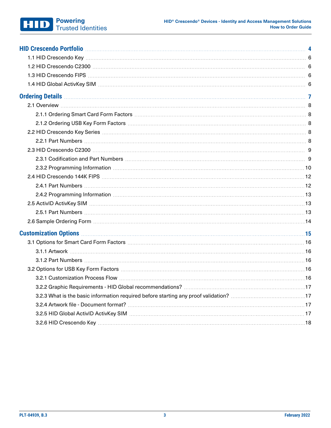#### **Powering** Trusted Identities

| HID Crescendo Portfolio <b>Maria Accidente de la contenta de la contenta de la contenta de la contenta de la contentidad de la contenta de la contenta de la contenta de la contenta de la contenta de la contenta de la content</b> |  |
|--------------------------------------------------------------------------------------------------------------------------------------------------------------------------------------------------------------------------------------|--|
|                                                                                                                                                                                                                                      |  |
|                                                                                                                                                                                                                                      |  |
|                                                                                                                                                                                                                                      |  |
| 1.4 HID Global ActivKey SIM material contracts and the contract of the contract of the contract of the contract of the contract of the contract of the contract of the contract of the contract of the contract of the contrac       |  |
|                                                                                                                                                                                                                                      |  |
|                                                                                                                                                                                                                                      |  |
|                                                                                                                                                                                                                                      |  |
|                                                                                                                                                                                                                                      |  |
|                                                                                                                                                                                                                                      |  |
|                                                                                                                                                                                                                                      |  |
|                                                                                                                                                                                                                                      |  |
|                                                                                                                                                                                                                                      |  |
|                                                                                                                                                                                                                                      |  |
|                                                                                                                                                                                                                                      |  |
|                                                                                                                                                                                                                                      |  |
|                                                                                                                                                                                                                                      |  |
|                                                                                                                                                                                                                                      |  |
|                                                                                                                                                                                                                                      |  |
|                                                                                                                                                                                                                                      |  |
|                                                                                                                                                                                                                                      |  |
|                                                                                                                                                                                                                                      |  |
|                                                                                                                                                                                                                                      |  |
|                                                                                                                                                                                                                                      |  |
|                                                                                                                                                                                                                                      |  |
|                                                                                                                                                                                                                                      |  |
|                                                                                                                                                                                                                                      |  |
|                                                                                                                                                                                                                                      |  |
|                                                                                                                                                                                                                                      |  |
|                                                                                                                                                                                                                                      |  |
|                                                                                                                                                                                                                                      |  |
|                                                                                                                                                                                                                                      |  |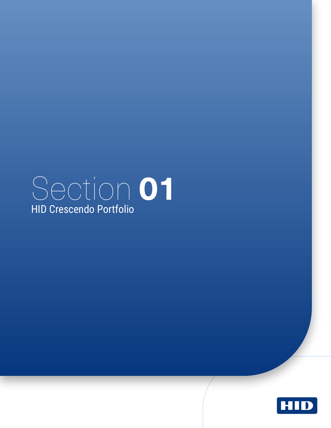# <span id="page-3-0"></span>Section **01** HID Crescendo Portfolio

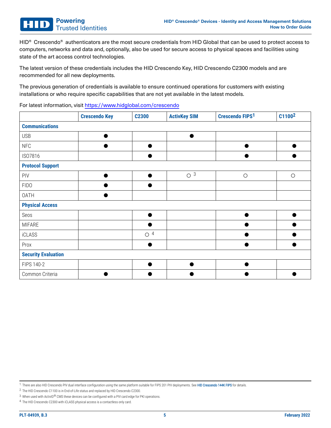HID<sup>®</sup> Crescendo<sup>®</sup> authenticators are the most secure credentials from HID Global that can be used to protect access to computers, networks and data and, optionally, also be used for secure access to physical spaces and facilities using state of the art access control technologies.

The latest version of these credentials includes the HID Crescendo Key, HID Crescendo C2300 models and are recommended for all new deployments.

The previous generation of credentials is available to ensure continued operations for customers with existing installations or who require specific capabilities that are not yet available in the latest models.

For latest information, visit <https://www.hidglobal.com/crescendo>

|                            | <b>Crescendo Key</b> | C2300                | <b>ActivKey SIM</b>  | <b>Crescendo FIPS1</b> | C1100 <sup>2</sup> |  |  |
|----------------------------|----------------------|----------------------|----------------------|------------------------|--------------------|--|--|
| <b>Communications</b>      |                      |                      |                      |                        |                    |  |  |
| <b>USB</b>                 |                      |                      |                      |                        |                    |  |  |
| <b>NFC</b>                 |                      |                      |                      |                        |                    |  |  |
| ISO7816                    |                      |                      |                      |                        |                    |  |  |
| <b>Protocol Support</b>    |                      |                      |                      |                        |                    |  |  |
| PIV                        |                      | ●                    | $\circ$ <sup>3</sup> | $\bigcirc$             | $\bigcirc$         |  |  |
| <b>FIDO</b>                |                      |                      |                      |                        |                    |  |  |
| <b>OATH</b>                |                      |                      |                      |                        |                    |  |  |
| <b>Physical Access</b>     |                      |                      |                      |                        |                    |  |  |
| Seos                       |                      |                      |                      |                        |                    |  |  |
| <b>MIFARE</b>              |                      |                      |                      |                        |                    |  |  |
| <b>iCLASS</b>              |                      | $\circ$ <sup>4</sup> |                      |                        |                    |  |  |
| Prox                       |                      |                      |                      |                        |                    |  |  |
| <b>Security Evaluation</b> |                      |                      |                      |                        |                    |  |  |
| FIPS 140-2                 |                      |                      |                      |                        |                    |  |  |
| Common Criteria            |                      |                      |                      |                        |                    |  |  |

1. There are also HID Crescendo PIV dual interface configuration using the same platform suitable for FIPS 201 PIV deployments. See [HID Crescendo 144K FIPS](#page-11-0) for details.

2. The HID Crescendo C1100 is in End-of-Life status and replaced by HID Crescendo C2300.

4. The HID Crescendo C2300 with iCLASS physical access is a contactless only card.

<sup>3.</sup> When used with ActivID® CMS these devices can be configured with a PIV card edge for PKI operations.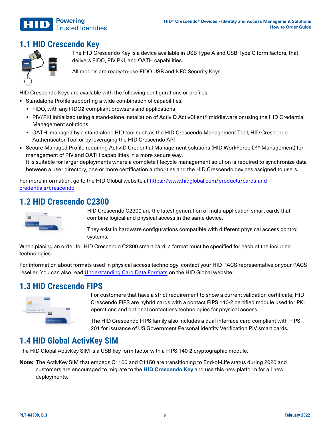

### <span id="page-5-0"></span>**1.1 HID Crescendo Key**



The HID Crescendo Key is a device available in USB Type A and USB Type C form factors, that delivers FIDO, PIV PKI, and OATH capabilities.

All models are ready-to-use FIDO USB and NFC Security Keys.

HID Crescendo Keys are available with the following configurations or profiles:

- Standalone Profile supporting a wide combination of capabilities:
	- FIDO, with any FIDO2-compliant browsers and applications
	- PIV/PKI initialized using a stand-alone installation of ActivID ActivClient<sup>®</sup> middleware or using the HID Credential Management solutions
	- <sup>l</sup> OATH, managed by a stand-alone HID tool such as the HID Crescendo Management Tool, HID Crescendo Authenticator Tool or by leveraging the HID Crescendo API
- Secure Managed Profile requiring ActivID Credential Management solutions (HID WorkForceID™ Management) for management of PIV and OATH capabilities in a more secure way. It is suitable for larger deployments where a complete lifecycle management solution is required to synchronize data between a user directory, one or more certification authorities and the HID Crescendo devices assigned to users.

<span id="page-5-1"></span>For more information, go to the HID Global website at [https://www.hidglobal.com/products/cards-and](https://www.hidglobal.com/products/cards-and-credentials/crescendo)[credentials/crescendo](https://www.hidglobal.com/products/cards-and-credentials/crescendo)

### **1.2 HID Crescendo C2300**



HID Crescendo C2300 are the latest generation of multi-application smart cards that combine logical and physical access in the same device.

They exist in hardware configurations compatible with different physical access control systems.

When placing an order for HID Crescendo C2300 smart card, a format must be specified for each of the included technologies.

<span id="page-5-2"></span>For information about formats used in physical access technology, contact your HID PACS representative or your PACS reseller. You can also read [Understanding](https://www.hidglobal.com/sites/default/files/hid-understanding_card_data_formats-wp-en.pdf) Card Data Formats on the HID Global website.

### **1.3 HID Crescendo FIPS**



For customers that have a strict requirement to show a current validation certificate, HID Crescendo FIPS are hybrid cards with a contact FIPS 140-2 certified module used for PKI operations and optional contactless technologies for physical access.

The HID Crescendo FIPS family also includes a dual interface card compliant with FIPS 201 for issuance of US Government Personal Identity Verification PIV smart cards.

### <span id="page-5-3"></span>**1.4 HID Global ActivKey SIM**

The HID Global ActivKey SIM is a USB key form factor with a FIPS 140-2 cryptographic module.

**Note:** The ActivKey SIM that embeds C1100 and C1150 are transitioning to End-of-Life status during 2020 and customers are encouraged to migrate to the **HID [Crescendo](#page-5-0) Key** and use this new platform for all new deployments.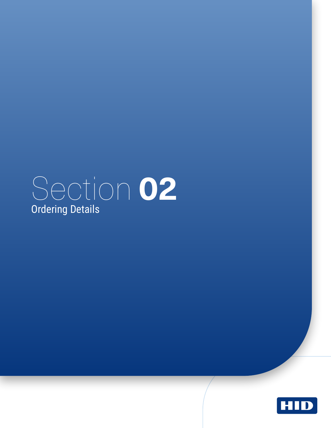<span id="page-6-0"></span>

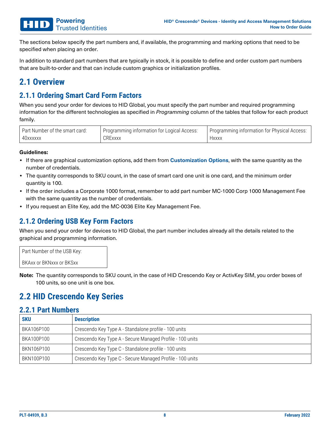The sections below specify the part numbers and, if available, the programming and marking options that need to be specified when placing an order.

<span id="page-7-0"></span>In addition to standard part numbers that are typically in stock, it is possible to define and order custom part numbers that are built-to-order and that can include custom graphics or initialization profiles.

### <span id="page-7-1"></span>**2.1 Overview**

#### **2.1.1 Ordering Smart Card Form Factors**

When you send your order for devices to HID Global, you must specify the part number and required programming information for the different technologies as specified in *Programming* column of the tables that follow for each product family.

| Part Number of the smart card: | Programming information for Logical Access: | Programming information for Physical Access: |
|--------------------------------|---------------------------------------------|----------------------------------------------|
| 40xxxxxx                       | <b>CRExxxx</b>                              | <b>Hxxxx</b>                                 |

#### **Guidelines:**

- **If there are graphical customization options, add them from <b>[Customization](#page-14-0) Options**, with the same quantity as the number of credentials.
- The quantity corresponds to SKU count, in the case of smart card one unit is one card, and the minimum order quantity is 100.
- If the order includes a Corporate 1000 format, remember to add part number MC-1000 Corp 1000 Management Fee with the same quantity as the number of credentials.
- <span id="page-7-2"></span>• If you request an Elite Key, add the MC-0036 Elite Key Management Fee.

#### **2.1.2 Ordering USB Key Form Factors**

When you send your order for devices to HID Global, the part number includes already all the details related to the graphical and programming information.

Part Number of the USB Key: BKAxx or BKNxxx or BKSxx

<span id="page-7-3"></span>**Note:** The quantity corresponds to SKU count, in the case of HID Crescendo Key or ActivKey SIM, you order boxes of 100 units, so one unit is one box.

### <span id="page-7-4"></span>**2.2 HID Crescendo Key Series**

#### **2.2.1 Part Numbers**

| <b>SKU</b> | <b>Description</b>                                        |
|------------|-----------------------------------------------------------|
| BKA106P100 | Crescendo Key Type A - Standalone profile - 100 units     |
| BKA100P100 | Crescendo Key Type A - Secure Managed Profile - 100 units |
| BKN106P100 | Crescendo Key Type C - Standalone profile - 100 units     |
| BKN100P100 | Crescendo Key Type C - Secure Managed Profile - 100 units |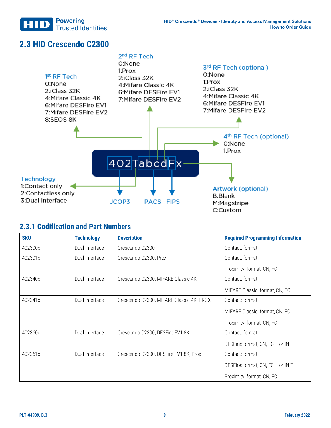

### <span id="page-8-0"></span>**2.3 HID Crescendo C2300**

| $1st$ RF Tech<br>0:None<br>2:iClass 32K<br>4: Mifare Classic 4K<br>6: Mifare DESFire EV1<br>7: Mifare DESFire EV2<br>8:SEOS 8K | $2nd$ RF Tech<br>0:None<br>1:Prox<br>2: iClass 32K<br>4: Mifare Classic 4K<br>6: Mifare DESFire EV1<br>7:Mifare DESFire EV2 | 3rd RF Tech (optional)<br>0:None<br>1:Prox<br>2:iClass 32K<br>4 Mifare Classic 4K<br>6: Mifare DESFire EV1<br>7:Mifare DESFire EV2 |
|--------------------------------------------------------------------------------------------------------------------------------|-----------------------------------------------------------------------------------------------------------------------------|------------------------------------------------------------------------------------------------------------------------------------|
|                                                                                                                                |                                                                                                                             | 4 <sup>th</sup> RF Tech (optional)<br>0:None                                                                                       |
| <b>Technology</b>                                                                                                              | 402TabcdFx                                                                                                                  | 1:Prox                                                                                                                             |
| 1:Contact only<br>2:Contactless only<br>3:Dual Interface                                                                       | JCOP3<br><b>PACS FIPS</b>                                                                                                   | Artwork (optional)<br><b>B:Blank</b><br>M:Magstripe<br>C:Custom                                                                    |

#### <span id="page-8-1"></span>**2.3.1 Codification and Part Numbers**

| <b>SKU</b> | <b>Technology</b> | <b>Description</b>                       | <b>Required Programming Information</b> |  |
|------------|-------------------|------------------------------------------|-----------------------------------------|--|
| 402300x    | Dual Interface    | Crescendo C2300                          | Contact: format                         |  |
| 402301x    | Dual Interface    | Crescendo C2300, Prox                    | Contact: format                         |  |
|            |                   |                                          | Proximity: format, CN, FC               |  |
| 402340x    | Dual Interface    | Crescendo C2300, MIFARE Classic 4K       | Contact: format                         |  |
|            |                   |                                          | MIFARE Classic: format, CN, FC          |  |
| 402341x    | Dual Interface    | Crescendo C2300, MIFARE Classic 4K, PROX | Contact: format                         |  |
|            |                   |                                          | MIFARE Classic: format, CN, FC          |  |
|            |                   |                                          | Proximity: format, CN, FC               |  |
| 402360x    | Dual Interface    | Crescendo C2300, DESFire EV1 8K          | Contact: format                         |  |
|            |                   |                                          | DESFire: format, CN, FC - or INIT       |  |
| 402361x    | Dual Interface    | Crescendo C2300, DESFire EV1 8K, Prox    | Contact: format                         |  |
|            |                   |                                          | DESFire: format, CN, FC - or INIT       |  |
|            |                   |                                          | Proximity: format, CN, FC               |  |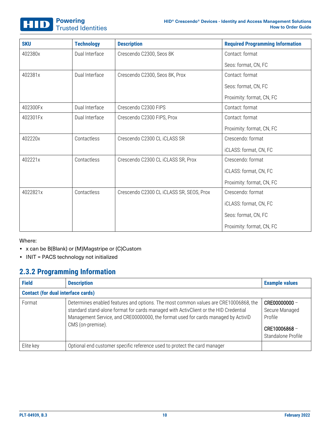

| <b>SKU</b> | <b>Technology</b> | <b>Description</b>                       | <b>Required Programming Information</b> |
|------------|-------------------|------------------------------------------|-----------------------------------------|
| 402380x    | Dual Interface    | Crescendo C2300, Seos 8K                 | Contact: format                         |
|            |                   |                                          | Seos: format, CN, FC                    |
| 402381x    | Dual Interface    | Crescendo C2300, Seos 8K, Prox           | Contact: format                         |
|            |                   |                                          | Seos: format, CN, FC                    |
|            |                   |                                          | Proximity: format, CN, FC               |
| 402300Fx   | Dual Interface    | Crescendo C2300 FIPS                     | Contact: format                         |
| 402301Fx   | Dual Interface    | Crescendo C2300 FIPS, Prox               | Contact: format                         |
|            |                   |                                          | Proximity: format, CN, FC               |
| 402220x    | Contactless       | Crescendo C2300 CL iCLASS SR             | Crescendo: format                       |
|            |                   |                                          | iCLASS: format, CN, FC                  |
| 402221x    | Contactless       | Crescendo C2300 CL iCLASS SR, Prox       | Crescendo: format                       |
|            |                   |                                          | iCLASS: format, CN, FC                  |
|            |                   |                                          | Proximity: format, CN, FC               |
| 4022821x   | Contactless       | Crescendo C2300 CL iCLASS SR, SEOS, Prox | Crescendo: format                       |
|            |                   |                                          | iCLASS: format, CN, FC                  |
|            |                   |                                          | Seos: format, CN, FC                    |
|            |                   |                                          | Proximity: format, CN, FC               |

Where:

- x can be B(Blank) or (M)Magstripe or (C)Custom
- <span id="page-9-0"></span>• INIT = PACS technology not initialized

#### **2.3.2 Programming Information**

| <b>Field</b>                              | <b>Description</b>                                                                                                                                                                                                                                                                     | <b>Example values</b>                                                            |
|-------------------------------------------|----------------------------------------------------------------------------------------------------------------------------------------------------------------------------------------------------------------------------------------------------------------------------------------|----------------------------------------------------------------------------------|
| <b>Contact (for dual interface cards)</b> |                                                                                                                                                                                                                                                                                        |                                                                                  |
| Format                                    | Determines enabled features and options. The most common values are CRE10006868, the<br>standard stand-alone format for cards managed with ActivClient or the HID Credential<br>Management Service, and CRE00000000, the format used for cards managed by ActivID<br>CMS (on-premise). | CRE00000000 -<br>Secure Managed<br>Profile<br>CRE10006868-<br>Standalone Profile |
| Elite key                                 | Optional end customer specific reference used to protect the card manager                                                                                                                                                                                                              |                                                                                  |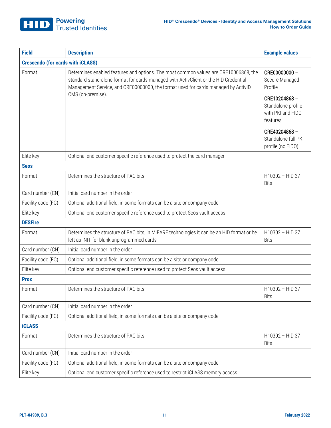| <b>Field</b>       | <b>Description</b>                                                                                                                                                                                                                                                | <b>Example values</b>                                               |  |  |  |
|--------------------|-------------------------------------------------------------------------------------------------------------------------------------------------------------------------------------------------------------------------------------------------------------------|---------------------------------------------------------------------|--|--|--|
|                    | <b>Crescendo (for cards with iCLASS)</b>                                                                                                                                                                                                                          |                                                                     |  |  |  |
| Format             | Determines enabled features and options. The most common values are CRE10006868, the<br>standard stand-alone format for cards managed with ActivClient or the HID Credential<br>Management Service, and CRE00000000, the format used for cards managed by ActivID | CRE00000000 -<br>Secure Managed<br>Profile                          |  |  |  |
|                    | CMS (on-premise).                                                                                                                                                                                                                                                 | CRE10204868-<br>Standalone profile<br>with PKI and FIDO<br>features |  |  |  |
|                    |                                                                                                                                                                                                                                                                   | CRE40204868-<br>Standalone full PKI<br>profile (no FIDO)            |  |  |  |
| Elite key          | Optional end customer specific reference used to protect the card manager                                                                                                                                                                                         |                                                                     |  |  |  |
| <b>Seos</b>        |                                                                                                                                                                                                                                                                   |                                                                     |  |  |  |
| Format             | Determines the structure of PAC bits                                                                                                                                                                                                                              | H10302 - HID 37<br><b>Bits</b>                                      |  |  |  |
| Card number (CN)   | Initial card number in the order                                                                                                                                                                                                                                  |                                                                     |  |  |  |
| Facility code (FC) | Optional additional field, in some formats can be a site or company code                                                                                                                                                                                          |                                                                     |  |  |  |
| Elite key          | Optional end customer specific reference used to protect Seos vault access                                                                                                                                                                                        |                                                                     |  |  |  |
| <b>DESFire</b>     |                                                                                                                                                                                                                                                                   |                                                                     |  |  |  |
| Format             | Determines the structure of PAC bits, in MIFARE technologies it can be an HID format or be<br>left as INIT for blank unprogrammed cards                                                                                                                           | H10302 - HID 37<br><b>Bits</b>                                      |  |  |  |
| Card number (CN)   | Initial card number in the order                                                                                                                                                                                                                                  |                                                                     |  |  |  |
| Facility code (FC) | Optional additional field, in some formats can be a site or company code                                                                                                                                                                                          |                                                                     |  |  |  |
| Elite key          | Optional end customer specific reference used to protect Seos vault access                                                                                                                                                                                        |                                                                     |  |  |  |
| <b>Prox</b>        |                                                                                                                                                                                                                                                                   |                                                                     |  |  |  |
| Format             | Determines the structure of PAC bits                                                                                                                                                                                                                              | H10302 - HID 37<br><b>Bits</b>                                      |  |  |  |
| Card number (CN)   | Initial card number in the order                                                                                                                                                                                                                                  |                                                                     |  |  |  |
| Facility code (FC) | Optional additional field, in some formats can be a site or company code                                                                                                                                                                                          |                                                                     |  |  |  |
| <b>iCLASS</b>      |                                                                                                                                                                                                                                                                   |                                                                     |  |  |  |
| Format             | Determines the structure of PAC bits                                                                                                                                                                                                                              | H10302 - HID 37<br><b>Bits</b>                                      |  |  |  |
| Card number (CN)   | Initial card number in the order                                                                                                                                                                                                                                  |                                                                     |  |  |  |
| Facility code (FC) | Optional additional field, in some formats can be a site or company code                                                                                                                                                                                          |                                                                     |  |  |  |
| Elite key          | Optional end customer specific reference used to restrict iCLASS memory access                                                                                                                                                                                    |                                                                     |  |  |  |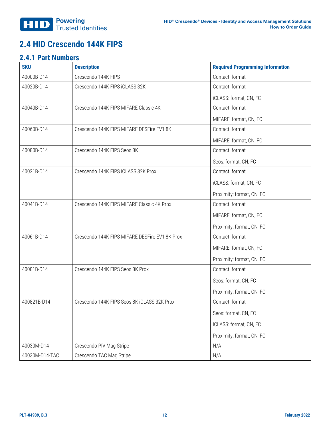### <span id="page-11-1"></span><span id="page-11-0"></span>**2.4 HID Crescendo 144K FIPS**

#### **2.4.1 Part Numbers**

| <b>SKU</b>     | <b>Description</b>                             | <b>Required Programming Information</b> |
|----------------|------------------------------------------------|-----------------------------------------|
| 40000B-D14     | Crescendo 144K FIPS                            | Contact: format                         |
| 40020B-D14     | Crescendo 144K FIPS iCLASS 32K                 | Contact: format                         |
|                |                                                | iCLASS: format, CN, FC                  |
| 40040B-D14     | Crescendo 144K FIPS MIFARE Classic 4K          | Contact: format                         |
|                |                                                | MIFARE: format, CN, FC                  |
| 40060B-D14     | Crescendo 144K FIPS MIFARE DESFire EV1 8K      | Contact: format                         |
|                |                                                | MIFARE: format, CN, FC                  |
| 40080B-D14     | Crescendo 144K FIPS Seos 8K                    | Contact: format                         |
|                |                                                | Seos: format, CN, FC                    |
| 40021B-D14     | Crescendo 144K FIPS iCLASS 32K Prox            | Contact: format                         |
|                |                                                | iCLASS: format, CN, FC                  |
|                |                                                | Proximity: format, CN, FC               |
| 40041B-D14     | Crescendo 144K FIPS MIFARE Classic 4K Prox     | Contact: format                         |
|                |                                                | MIFARE: format, CN, FC                  |
|                |                                                | Proximity: format, CN, FC               |
| 40061B-D14     | Crescendo 144K FIPS MIFARE DESFire EV1 8K Prox | Contact: format                         |
|                |                                                | MIFARE: format, CN, FC                  |
|                |                                                | Proximity: format, CN, FC               |
| 40081B-D14     | Crescendo 144K FIPS Seos 8K Prox               | Contact: format                         |
|                |                                                | Seos: format, CN, FC                    |
|                |                                                | Proximity: format, CN, FC               |
| 400821B-D14    | Crescendo 144K FIPS Seos 8K iCLASS 32K Prox    | Contact: format                         |
|                |                                                | Seos: format, CN, FC                    |
|                |                                                | iCLASS: format, CN, FC                  |
|                |                                                | Proximity: format, CN, FC               |
| 40030M-D14     | Crescendo PIV Mag Stripe                       | N/A                                     |
| 40030M-D14-TAC | Crescendo TAC Mag Stripe                       | N/A                                     |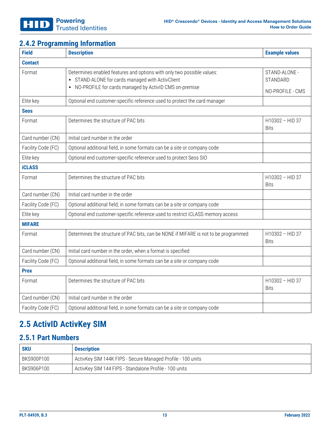### <span id="page-12-0"></span>**2.4.2 Programming Information**

| <b>Field</b>       | <b>Description</b>                                                                                                                                                                   | <b>Example values</b>                         |
|--------------------|--------------------------------------------------------------------------------------------------------------------------------------------------------------------------------------|-----------------------------------------------|
| <b>Contact</b>     |                                                                                                                                                                                      |                                               |
| Format             | Determines enabled features and options with only two possible values:<br>• STAND-ALONE for cards managed with ActivClient<br>NO-PROFILE for cards managed by ActivID CMS on-premise | STAND-ALONE -<br>STANDARD<br>NO-PROFILE - CMS |
| Elite key          | Optional end customer-specific reference used to protect the card manager                                                                                                            |                                               |
| <b>Seos</b>        |                                                                                                                                                                                      |                                               |
| Format             | Determines the structure of PAC bits                                                                                                                                                 | H10302 - HID 37<br><b>Bits</b>                |
| Card number (CN)   | Initial card number in the order                                                                                                                                                     |                                               |
| Facility Code (FC) | Optional additional field, in some formats can be a site or company code                                                                                                             |                                               |
| Elite key          | Optional end customer-specific reference used to protect Seos SIO                                                                                                                    |                                               |
| <b>iCLASS</b>      |                                                                                                                                                                                      |                                               |
| Format             | Determines the structure of PAC bits                                                                                                                                                 | H10302 - HID 37<br><b>Bits</b>                |
| Card number (CN)   | Initial card number in the order                                                                                                                                                     |                                               |
| Facility Code (FC) | Optional additional field, in some formats can be a site or company code                                                                                                             |                                               |
| Elite key          | Optional end customer-specific reference used to restrict iCLASS memory access                                                                                                       |                                               |
| <b>MIFARE</b>      |                                                                                                                                                                                      |                                               |
| Format             | Determines the structure of PAC bits, can be NONE if MIFARE is not to be programmed                                                                                                  | H10302 - HID 37<br><b>Bits</b>                |
| Card number (CN)   | Initial card number in the order, when a format is specified                                                                                                                         |                                               |
| Facility Code (FC) | Optional additional field, in some formats can be a site or company code                                                                                                             |                                               |
| <b>Prox</b>        |                                                                                                                                                                                      |                                               |
| Format             | Determines the structure of PAC bits                                                                                                                                                 | H10302 - HID 37<br><b>Bits</b>                |
| Card number (CN)   | Initial card number in the order                                                                                                                                                     |                                               |
| Facility Code (FC) | Optional additional field, in some formats can be a site or company code                                                                                                             |                                               |

### <span id="page-12-2"></span><span id="page-12-1"></span>**2.5 ActivID ActivKey SIM**

#### **2.5.1 Part Numbers**

| <b>SKU</b> | <b>Description</b>                                          |
|------------|-------------------------------------------------------------|
| BKS900P100 | ActivKey SIM 144K FIPS - Secure Managed Profile - 100 units |
| BKS906P100 | ActivKey SIM 144 FIPS - Standalone Profile - 100 units      |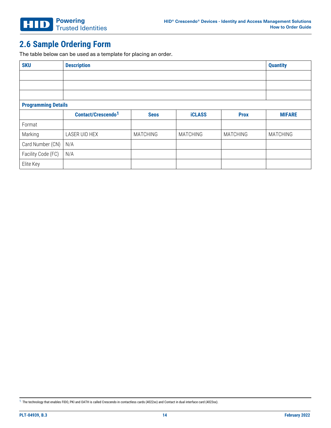### <span id="page-13-0"></span>**2.6 Sample Ordering Form**

The table below can be used as a template for placing an order.

| <b>SKU</b>                 | <b>Description</b>             |                 |                 |                 | <b>Quantity</b> |  |  |
|----------------------------|--------------------------------|-----------------|-----------------|-----------------|-----------------|--|--|
|                            |                                |                 |                 |                 |                 |  |  |
|                            |                                |                 |                 |                 |                 |  |  |
|                            |                                |                 |                 |                 |                 |  |  |
| <b>Programming Details</b> |                                |                 |                 |                 |                 |  |  |
|                            | Contact/Crescendo <sup>1</sup> | <b>Seos</b>     | <b>iCLASS</b>   | <b>Prox</b>     | <b>MIFARE</b>   |  |  |
| Format                     |                                |                 |                 |                 |                 |  |  |
| Marking                    | LASER UID HEX                  | <b>MATCHING</b> | <b>MATCHING</b> | <b>MATCHING</b> | <b>MATCHING</b> |  |  |
| Card Number (CN)           | N/A                            |                 |                 |                 |                 |  |  |
| Facility Code (FC)         | N/A                            |                 |                 |                 |                 |  |  |
| Elite Key                  |                                |                 |                 |                 |                 |  |  |

<sup>1.</sup> The technology that enables FIDO, PKI and OATH is called Crescendo in contactless cards (4022xx) and Contact in dual interface card (4023xx).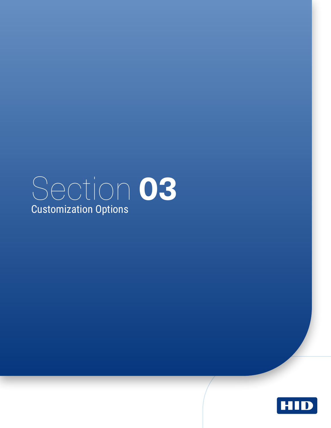<span id="page-14-0"></span>

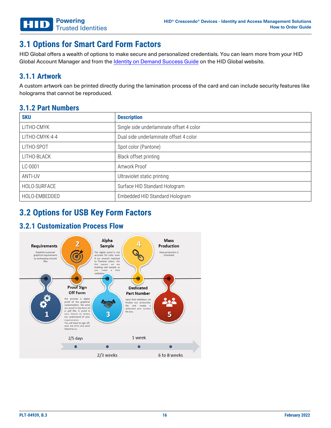### <span id="page-15-0"></span>**3.1 Options for Smart Card Form Factors**

HID Global offers a wealth of options to make secure and personalized credentials. You can learn more from your HID Global Account Manager and from the Identity on [Demand](https://www.hidglobal.com/node/4721) Success Guide on the HID Global website.

#### <span id="page-15-1"></span>**3.1.1 Artwork**

A custom artwork can be printed directly during the lamination process of the card and can include security features like holograms that cannot be reproduced.

#### <span id="page-15-2"></span>**3.1.2 Part Numbers**

| <b>SKU</b>     | <b>Description</b>                       |
|----------------|------------------------------------------|
| LITHO-CMYK     | Single side underlaminate offset 4 color |
| LITHO-CMYK-4-4 | Dual side underlaminate offset 4 color   |
| LITHO-SPOT     | Spot color (Pantone)                     |
| LITHO-BLACK    | Black offset printing                    |
| LC-0001        | Artwork Proof                            |
| ANTI-UV        | Ultraviolet static printing              |
| HOLO-SURFACE   | Surface HID Standard Hologram            |
| HOLO-EMBEDDED  | Embedded HID Standard Hologram           |

### <span id="page-15-4"></span><span id="page-15-3"></span>**3.2 Options for USB Key Form Factors**

#### **3.2.1 Customization Process Flow**

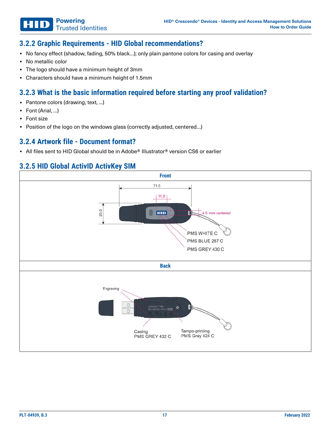#### <span id="page-16-0"></span>**3.2.2 Graphic Requirements - HID Global recommendations?**

- No fancy effect (shadow, fading, 50% black...); only plain pantone colors for casing and overlay
- No metallic color
- The logo should have a minimum height of 3mm

Trusted Identities

**Powering**

<span id="page-16-1"></span>• Characters should have a minimum height of 1.5mm

#### **3.2.3 What is the basic information required before starting any proof validation?**

- Pantone colors (drawing, text, ...)
- Font (Arial, ...)
- Font size
- <span id="page-16-2"></span>• Position of the logo on the windows glass (correctly adjusted, centered...)

#### **3.2.4 Artwork file - Document format?**

<span id="page-16-3"></span>• All files sent to HID Global should be in Adobe® Illustrator® version CS6 or earlier

#### **3.2.5 HID Global ActivID ActivKey SIM**

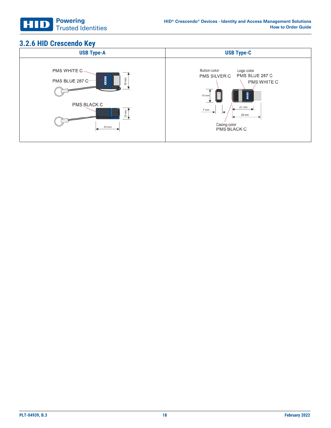

### <span id="page-17-0"></span>**3.2.6 HID Crescendo Key**

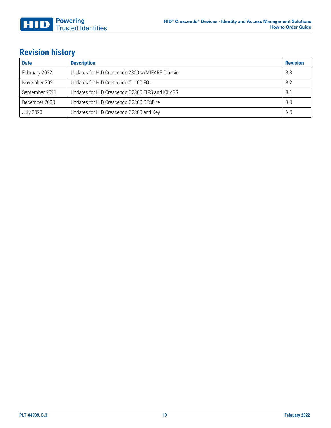### <span id="page-18-0"></span>**Revision history**

| <b>Date</b>      | <b>Description</b>                              | <b>Revision</b> |
|------------------|-------------------------------------------------|-----------------|
| February 2022    | Updates for HID Crescendo 2300 w/MIFARE Classic | B.3             |
| November 2021    | Updates for HID Crescendo C1100 EOL             | B.2             |
| September 2021   | Updates for HID Crescendo C2300 FIPS and iCLASS | $B^{\prime}$    |
| December 2020    | Updates for HID Crescendo C2300 DESFire         | <b>B.0</b>      |
| <b>July 2020</b> | Updates for HID Crescendo C2300 and Key         | A.0             |